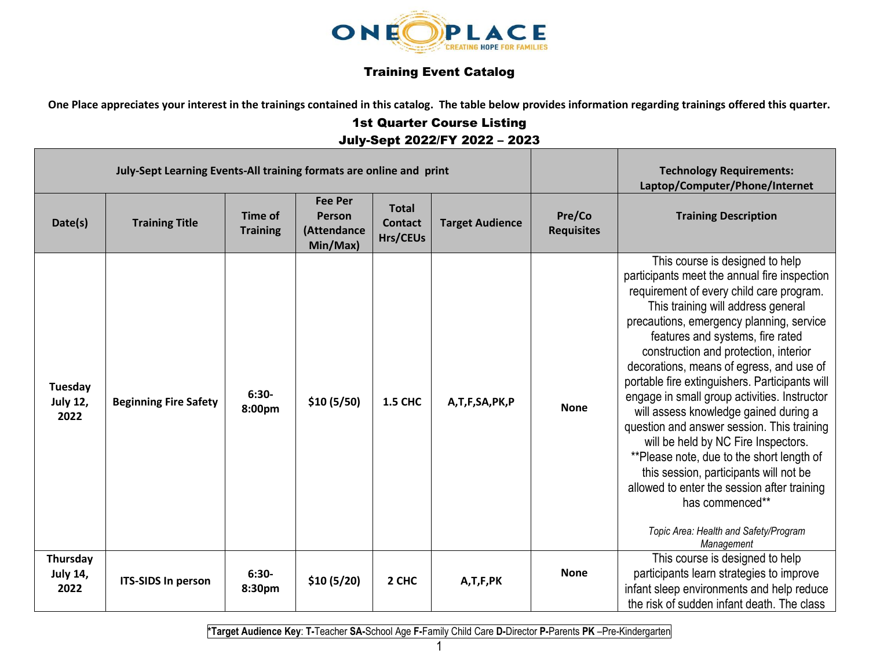

## Training Event Catalog

**One Place appreciates your interest in the trainings contained in this catalog. The table below provides information regarding trainings offered this quarter.**

## 1st Quarter Course Listing July-Sept 2022/FY 2022 – 2023

| July-Sept Learning Events-All training formats are online and print |                              |                                   |                                                     |                                            |                        |                             | <b>Technology Requirements:</b><br>Laptop/Computer/Phone/Internet                                                                                                                                                                                                                                                                                                                                                                                                                                                                                                                                                                                                                                                                                                                      |
|---------------------------------------------------------------------|------------------------------|-----------------------------------|-----------------------------------------------------|--------------------------------------------|------------------------|-----------------------------|----------------------------------------------------------------------------------------------------------------------------------------------------------------------------------------------------------------------------------------------------------------------------------------------------------------------------------------------------------------------------------------------------------------------------------------------------------------------------------------------------------------------------------------------------------------------------------------------------------------------------------------------------------------------------------------------------------------------------------------------------------------------------------------|
| Date(s)                                                             | <b>Training Title</b>        | <b>Time of</b><br><b>Training</b> | <b>Fee Per</b><br>Person<br>(Attendance<br>Min/Max) | <b>Total</b><br><b>Contact</b><br>Hrs/CEUs | <b>Target Audience</b> | Pre/Co<br><b>Requisites</b> | <b>Training Description</b>                                                                                                                                                                                                                                                                                                                                                                                                                                                                                                                                                                                                                                                                                                                                                            |
| Tuesday<br><b>July 12,</b><br>2022                                  | <b>Beginning Fire Safety</b> | $6:30-$<br>8:00pm                 | \$10(5/50)                                          | <b>1.5 CHC</b>                             | A,T,F,SA,PK,P          | <b>None</b>                 | This course is designed to help<br>participants meet the annual fire inspection<br>requirement of every child care program.<br>This training will address general<br>precautions, emergency planning, service<br>features and systems, fire rated<br>construction and protection, interior<br>decorations, means of egress, and use of<br>portable fire extinguishers. Participants will<br>engage in small group activities. Instructor<br>will assess knowledge gained during a<br>question and answer session. This training<br>will be held by NC Fire Inspectors.<br>**Please note, due to the short length of<br>this session, participants will not be<br>allowed to enter the session after training<br>has commenced**<br>Topic Area: Health and Safety/Program<br>Management |
| Thursday<br><b>July 14,</b><br>2022                                 | <b>ITS-SIDS In person</b>    | $6:30-$<br>8:30pm                 | \$10(5/20)                                          | 2 CHC                                      | A,T,F,PK               | <b>None</b>                 | This course is designed to help<br>participants learn strategies to improve<br>infant sleep environments and help reduce<br>the risk of sudden infant death. The class                                                                                                                                                                                                                                                                                                                                                                                                                                                                                                                                                                                                                 |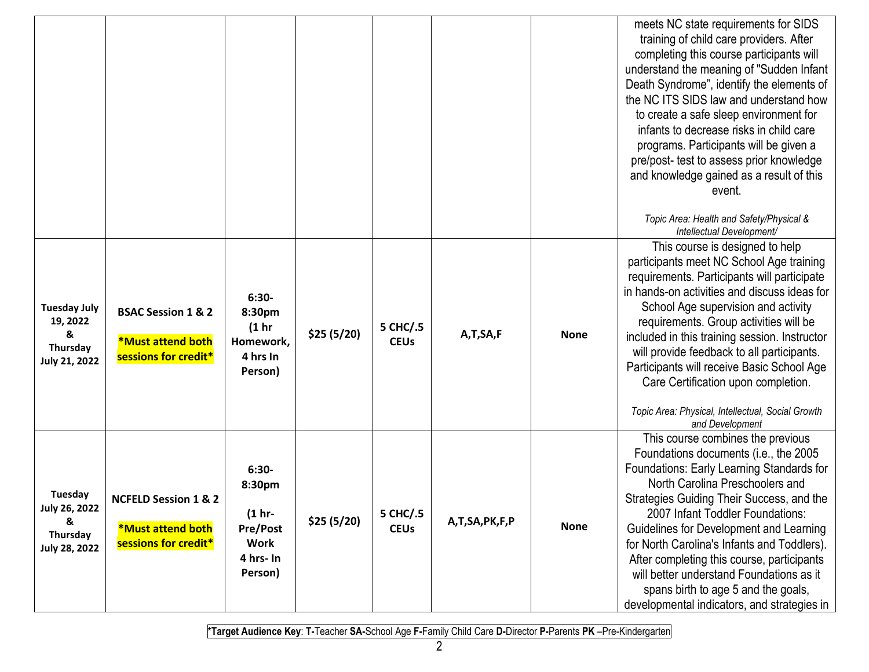|                                                                          |                                                                                     |                                                                                        |             |                         |               |             | meets NC state requirements for SIDS<br>training of child care providers. After<br>completing this course participants will<br>understand the meaning of "Sudden Infant"<br>Death Syndrome", identify the elements of<br>the NC ITS SIDS law and understand how<br>to create a safe sleep environment for<br>infants to decrease risks in child care<br>programs. Participants will be given a<br>pre/post- test to assess prior knowledge<br>and knowledge gained as a result of this<br>event.<br>Topic Area: Health and Safety/Physical &<br>Intellectual Development/ |
|--------------------------------------------------------------------------|-------------------------------------------------------------------------------------|----------------------------------------------------------------------------------------|-------------|-------------------------|---------------|-------------|---------------------------------------------------------------------------------------------------------------------------------------------------------------------------------------------------------------------------------------------------------------------------------------------------------------------------------------------------------------------------------------------------------------------------------------------------------------------------------------------------------------------------------------------------------------------------|
| <b>Tuesday July</b><br>19, 2022<br>&<br>Thursday<br><b>July 21, 2022</b> | <b>BSAC Session 1 &amp; 2</b><br><b>*Must attend both</b><br>sessions for credit*   | $6:30-$<br>8:30pm<br>(1 <sub>hr</sub> )<br>Homework,<br>4 hrs In<br>Person)            | \$25(5/20)  | 5 CHC/.5<br><b>CEUs</b> | A,T,SA,F      | <b>None</b> | This course is designed to help<br>participants meet NC School Age training<br>requirements. Participants will participate<br>in hands-on activities and discuss ideas for<br>School Age supervision and activity<br>requirements. Group activities will be<br>included in this training session. Instructor<br>will provide feedback to all participants.<br>Participants will receive Basic School Age<br>Care Certification upon completion.<br>Topic Area: Physical, Intellectual, Social Growth<br>and Development                                                   |
| Tuesday<br>July 26, 2022<br>&<br>Thursday<br>July 28, 2022               | <b>NCFELD Session 1 &amp; 2</b><br><b>*Must attend both</b><br>sessions for credit* | $6:30-$<br>8:30pm<br>$(1hr-$<br><b>Pre/Post</b><br><b>Work</b><br>4 hrs- In<br>Person) | \$25 (5/20) | 5 CHC/.5<br><b>CEUs</b> | A,T,SA,PK,F,P | <b>None</b> | This course combines the previous<br>Foundations documents (i.e., the 2005<br>Foundations: Early Learning Standards for<br>North Carolina Preschoolers and<br>Strategies Guiding Their Success, and the<br>2007 Infant Toddler Foundations:<br>Guidelines for Development and Learning<br>for North Carolina's Infants and Toddlers).<br>After completing this course, participants<br>will better understand Foundations as it<br>spans birth to age 5 and the goals,<br>developmental indicators, and strategies in                                                     |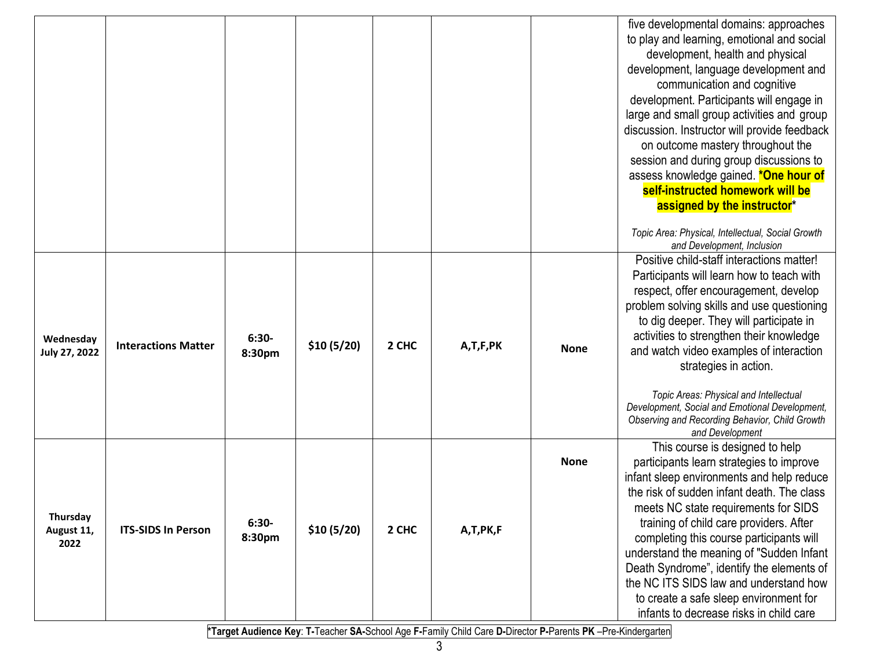|                                |                            |                   |            |       |          |             | five developmental domains: approaches<br>to play and learning, emotional and social<br>development, health and physical<br>development, language development and<br>communication and cognitive<br>development. Participants will engage in<br>large and small group activities and group<br>discussion. Instructor will provide feedback<br>on outcome mastery throughout the<br>session and during group discussions to<br>assess knowledge gained. *One hour of<br>self-instructed homework will be<br>assigned by the instructor* |
|--------------------------------|----------------------------|-------------------|------------|-------|----------|-------------|----------------------------------------------------------------------------------------------------------------------------------------------------------------------------------------------------------------------------------------------------------------------------------------------------------------------------------------------------------------------------------------------------------------------------------------------------------------------------------------------------------------------------------------|
|                                |                            |                   |            |       |          |             | Topic Area: Physical, Intellectual, Social Growth<br>and Development, Inclusion                                                                                                                                                                                                                                                                                                                                                                                                                                                        |
| Wednesday<br>July 27, 2022     | <b>Interactions Matter</b> | $6:30-$<br>8:30pm | \$10(5/20) | 2 CHC | A,T,F,PK | <b>None</b> | Positive child-staff interactions matter!<br>Participants will learn how to teach with<br>respect, offer encouragement, develop<br>problem solving skills and use questioning<br>to dig deeper. They will participate in<br>activities to strengthen their knowledge<br>and watch video examples of interaction<br>strategies in action.<br>Topic Areas: Physical and Intellectual<br>Development, Social and Emotional Development,<br>Observing and Recording Behavior, Child Growth<br>and Development                              |
| Thursday<br>August 11,<br>2022 | <b>ITS-SIDS In Person</b>  | $6:30-$<br>8:30pm | \$10(5/20) | 2 CHC | A,T,PK,F | <b>None</b> | This course is designed to help<br>participants learn strategies to improve<br>infant sleep environments and help reduce<br>the risk of sudden infant death. The class<br>meets NC state requirements for SIDS<br>training of child care providers. After<br>completing this course participants will<br>understand the meaning of "Sudden Infant<br>Death Syndrome", identify the elements of<br>the NC ITS SIDS law and understand how<br>to create a safe sleep environment for<br>infants to decrease risks in child care          |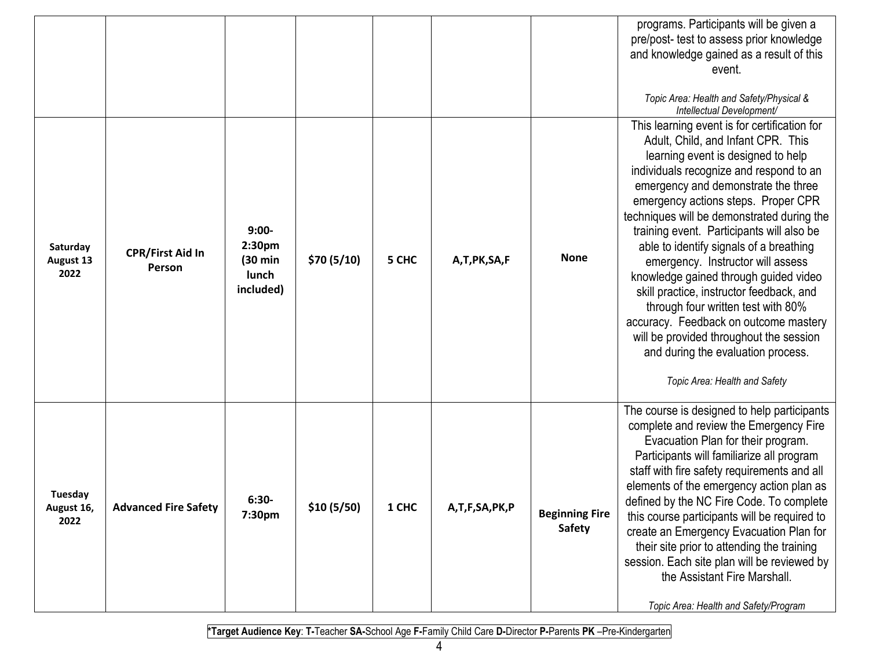|                                      |                                   |                                                               |             |       |               |                                        | programs. Participants will be given a<br>pre/post- test to assess prior knowledge<br>and knowledge gained as a result of this<br>event.<br>Topic Area: Health and Safety/Physical &<br>Intellectual Development/                                                                                                                                                                                                                                                                                                                                                                                                                                                                                                  |
|--------------------------------------|-----------------------------------|---------------------------------------------------------------|-------------|-------|---------------|----------------------------------------|--------------------------------------------------------------------------------------------------------------------------------------------------------------------------------------------------------------------------------------------------------------------------------------------------------------------------------------------------------------------------------------------------------------------------------------------------------------------------------------------------------------------------------------------------------------------------------------------------------------------------------------------------------------------------------------------------------------------|
| Saturday<br><b>August 13</b><br>2022 | <b>CPR/First Aid In</b><br>Person | $9:00-$<br>2:30pm<br>$(30 \text{ min})$<br>lunch<br>included) | \$70(5/10)  | 5 CHC | A,T,PK,SA,F   | <b>None</b>                            | This learning event is for certification for<br>Adult, Child, and Infant CPR. This<br>learning event is designed to help<br>individuals recognize and respond to an<br>emergency and demonstrate the three<br>emergency actions steps. Proper CPR<br>techniques will be demonstrated during the<br>training event. Participants will also be<br>able to identify signals of a breathing<br>emergency. Instructor will assess<br>knowledge gained through guided video<br>skill practice, instructor feedback, and<br>through four written test with 80%<br>accuracy. Feedback on outcome mastery<br>will be provided throughout the session<br>and during the evaluation process.<br>Topic Area: Health and Safety |
| Tuesday<br>August 16,<br>2022        | <b>Advanced Fire Safety</b>       | $6:30-$<br>7:30pm                                             | \$10 (5/50) | 1 CHC | A,T,F,SA,PK,P | <b>Beginning Fire</b><br><b>Safety</b> | The course is designed to help participants<br>complete and review the Emergency Fire<br>Evacuation Plan for their program.<br>Participants will familiarize all program<br>staff with fire safety requirements and all<br>elements of the emergency action plan as<br>defined by the NC Fire Code. To complete<br>this course participants will be required to<br>create an Emergency Evacuation Plan for<br>their site prior to attending the training<br>session. Each site plan will be reviewed by<br>the Assistant Fire Marshall.<br>Topic Area: Health and Safety/Program                                                                                                                                   |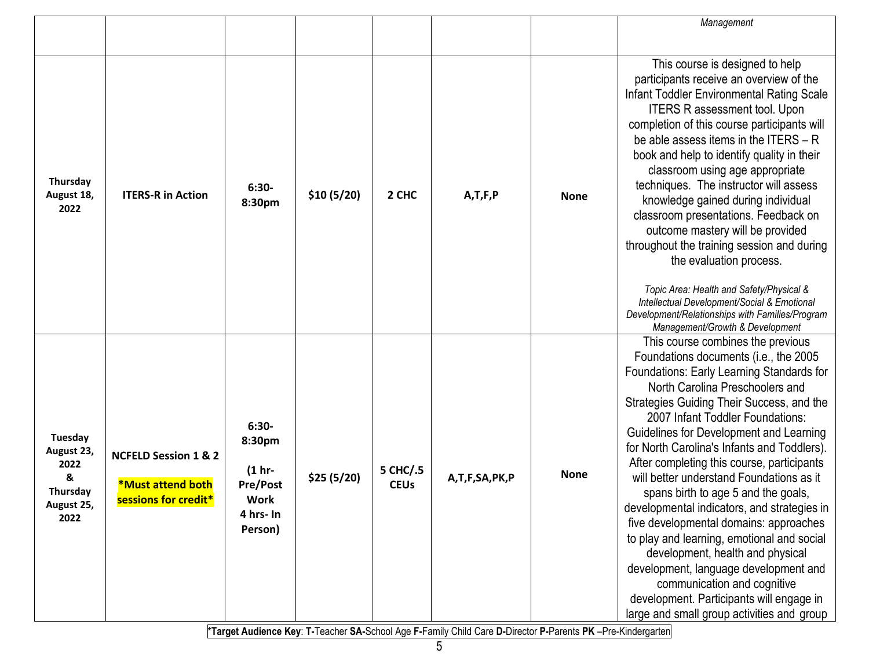|                                                                      |                                                                                     |                                                                                          |            |                         |               |             | Management                                                                                                                                                                                                                                                                                                                                                                                                                                                                                                                                                                                                                                                                                                                                                                                                          |
|----------------------------------------------------------------------|-------------------------------------------------------------------------------------|------------------------------------------------------------------------------------------|------------|-------------------------|---------------|-------------|---------------------------------------------------------------------------------------------------------------------------------------------------------------------------------------------------------------------------------------------------------------------------------------------------------------------------------------------------------------------------------------------------------------------------------------------------------------------------------------------------------------------------------------------------------------------------------------------------------------------------------------------------------------------------------------------------------------------------------------------------------------------------------------------------------------------|
|                                                                      |                                                                                     |                                                                                          |            |                         |               |             |                                                                                                                                                                                                                                                                                                                                                                                                                                                                                                                                                                                                                                                                                                                                                                                                                     |
| Thursday<br>August 18,<br>2022                                       | <b>ITERS-R in Action</b>                                                            | $6:30-$<br>8:30pm                                                                        | \$10(5/20) | 2 CHC                   | A, T, F, P    | <b>None</b> | This course is designed to help<br>participants receive an overview of the<br>Infant Toddler Environmental Rating Scale<br><b>ITERS R assessment tool. Upon</b><br>completion of this course participants will<br>be able assess items in the ITERS - R<br>book and help to identify quality in their<br>classroom using age appropriate<br>techniques. The instructor will assess<br>knowledge gained during individual<br>classroom presentations. Feedback on<br>outcome mastery will be provided<br>throughout the training session and during<br>the evaluation process.<br>Topic Area: Health and Safety/Physical &<br>Intellectual Development/Social & Emotional<br>Development/Relationships with Families/Program<br>Management/Growth & Development                                                      |
| Tuesday<br>August 23,<br>2022<br>&<br>Thursday<br>August 25,<br>2022 | <b>NCFELD Session 1 &amp; 2</b><br><b>*Must attend both</b><br>sessions for credit* | $6:30-$<br>8:30pm<br>$(1 hr -$<br><b>Pre/Post</b><br><b>Work</b><br>4 hrs- In<br>Person) | \$25(5/20) | 5 CHC/.5<br><b>CEUs</b> | A,T,F,SA,PK,P | <b>None</b> | This course combines the previous<br>Foundations documents (i.e., the 2005<br>Foundations: Early Learning Standards for<br>North Carolina Preschoolers and<br>Strategies Guiding Their Success, and the<br>2007 Infant Toddler Foundations:<br>Guidelines for Development and Learning<br>for North Carolina's Infants and Toddlers).<br>After completing this course, participants<br>will better understand Foundations as it<br>spans birth to age 5 and the goals,<br>developmental indicators, and strategies in<br>five developmental domains: approaches<br>to play and learning, emotional and social<br>development, health and physical<br>development, language development and<br>communication and cognitive<br>development. Participants will engage in<br>large and small group activities and group |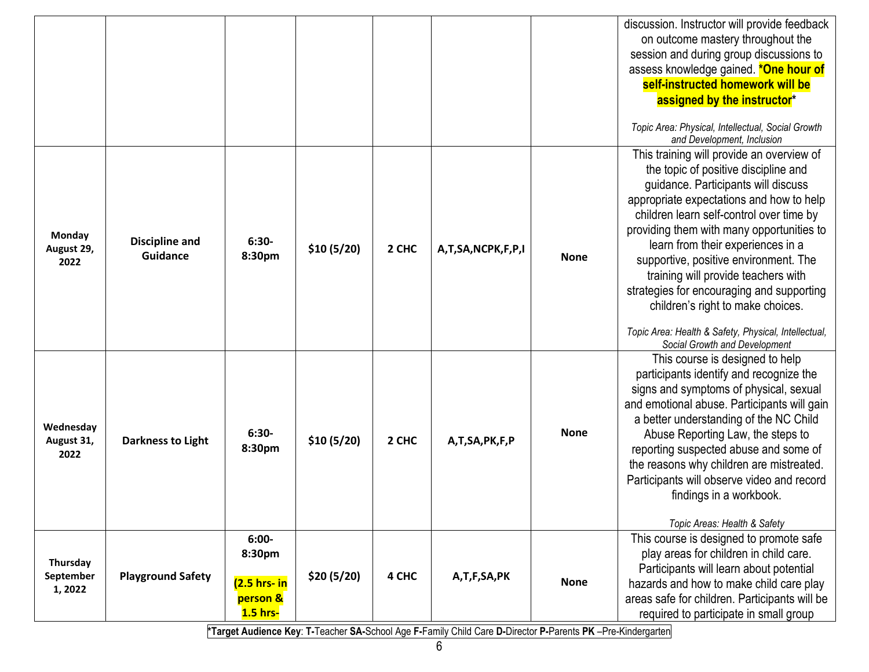|                                  |                                          |                                                               |            |       |                   |             | discussion. Instructor will provide feedback<br>on outcome mastery throughout the<br>session and during group discussions to<br>assess knowledge gained. *One hour of<br>self-instructed homework will be<br>assigned by the instructor*<br>Topic Area: Physical, Intellectual, Social Growth<br>and Development, Inclusion                                                                                                                                                                                                                                   |
|----------------------------------|------------------------------------------|---------------------------------------------------------------|------------|-------|-------------------|-------------|---------------------------------------------------------------------------------------------------------------------------------------------------------------------------------------------------------------------------------------------------------------------------------------------------------------------------------------------------------------------------------------------------------------------------------------------------------------------------------------------------------------------------------------------------------------|
| Monday<br>August 29,<br>2022     | <b>Discipline and</b><br><b>Guidance</b> | $6:30-$<br>8:30pm                                             | \$10(5/20) | 2 CHC | A,T,SA,NCPK,F,P,I | <b>None</b> | This training will provide an overview of<br>the topic of positive discipline and<br>guidance. Participants will discuss<br>appropriate expectations and how to help<br>children learn self-control over time by<br>providing them with many opportunities to<br>learn from their experiences in a<br>supportive, positive environment. The<br>training will provide teachers with<br>strategies for encouraging and supporting<br>children's right to make choices.<br>Topic Area: Health & Safety, Physical, Intellectual,<br>Social Growth and Development |
| Wednesday<br>August 31,<br>2022  | <b>Darkness to Light</b>                 | $6:30-$<br>8:30pm                                             | \$10(5/20) | 2 CHC | A,T,SA,PK,F,P     | <b>None</b> | This course is designed to help<br>participants identify and recognize the<br>signs and symptoms of physical, sexual<br>and emotional abuse. Participants will gain<br>a better understanding of the NC Child<br>Abuse Reporting Law, the steps to<br>reporting suspected abuse and some of<br>the reasons why children are mistreated.<br>Participants will observe video and record<br>findings in a workbook.<br>Topic Areas: Health & Safety                                                                                                              |
| Thursday<br>September<br>1, 2022 | <b>Playground Safety</b>                 | $6:00-$<br>8:30pm<br>$(2.5$ hrs- $in$<br>person &<br>1.5 hrs- | \$20(5/20) | 4 CHC | A,T,F,SA,PK       | <b>None</b> | This course is designed to promote safe<br>play areas for children in child care.<br>Participants will learn about potential<br>hazards and how to make child care play<br>areas safe for children. Participants will be<br>required to participate in small group                                                                                                                                                                                                                                                                                            |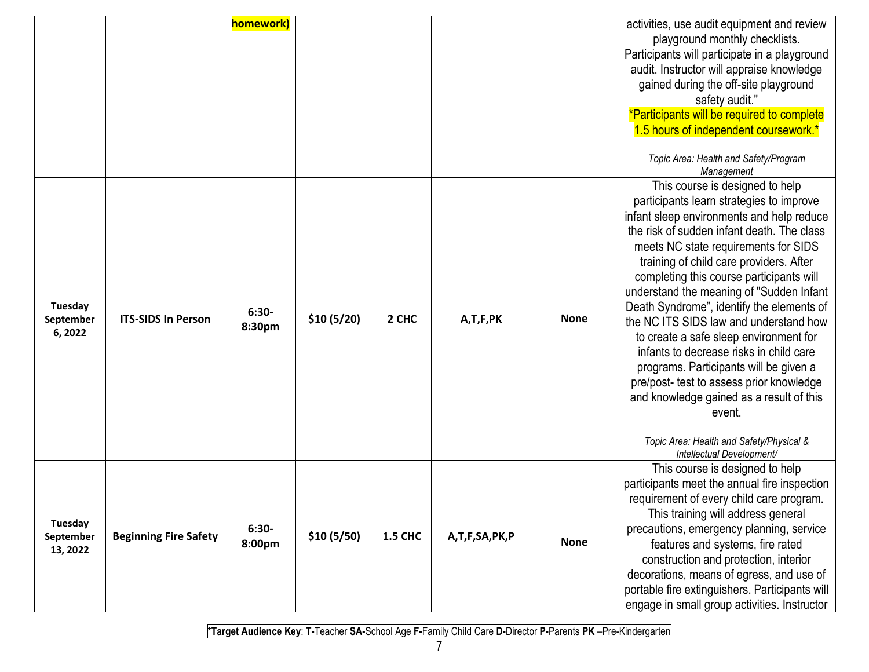|                                  |                              | homework)         |            |                |               |             | activities, use audit equipment and review<br>playground monthly checklists.<br>Participants will participate in a playground<br>audit. Instructor will appraise knowledge<br>gained during the off-site playground<br>safety audit."<br>*Participants will be required to complete<br>1.5 hours of independent coursework.*<br>Topic Area: Health and Safety/Program<br>Management                                                                                                                                                                                                                                                                                                                                                                |
|----------------------------------|------------------------------|-------------------|------------|----------------|---------------|-------------|----------------------------------------------------------------------------------------------------------------------------------------------------------------------------------------------------------------------------------------------------------------------------------------------------------------------------------------------------------------------------------------------------------------------------------------------------------------------------------------------------------------------------------------------------------------------------------------------------------------------------------------------------------------------------------------------------------------------------------------------------|
| Tuesday<br>September<br>6,2022   | <b>ITS-SIDS In Person</b>    | $6:30-$<br>8:30pm | \$10(5/20) | 2 CHC          | A,T,F,PK      | <b>None</b> | This course is designed to help<br>participants learn strategies to improve<br>infant sleep environments and help reduce<br>the risk of sudden infant death. The class<br>meets NC state requirements for SIDS<br>training of child care providers. After<br>completing this course participants will<br>understand the meaning of "Sudden Infant<br>Death Syndrome", identify the elements of<br>the NC ITS SIDS law and understand how<br>to create a safe sleep environment for<br>infants to decrease risks in child care<br>programs. Participants will be given a<br>pre/post- test to assess prior knowledge<br>and knowledge gained as a result of this<br>event.<br>Topic Area: Health and Safety/Physical &<br>Intellectual Development/ |
| Tuesday<br>September<br>13, 2022 | <b>Beginning Fire Safety</b> | $6:30-$<br>8:00pm | \$10(5/50) | <b>1.5 CHC</b> | A,T,F,SA,PK,P | <b>None</b> | This course is designed to help<br>participants meet the annual fire inspection<br>requirement of every child care program.<br>This training will address general<br>precautions, emergency planning, service<br>features and systems, fire rated<br>construction and protection, interior<br>decorations, means of egress, and use of<br>portable fire extinguishers. Participants will<br>engage in small group activities. Instructor                                                                                                                                                                                                                                                                                                           |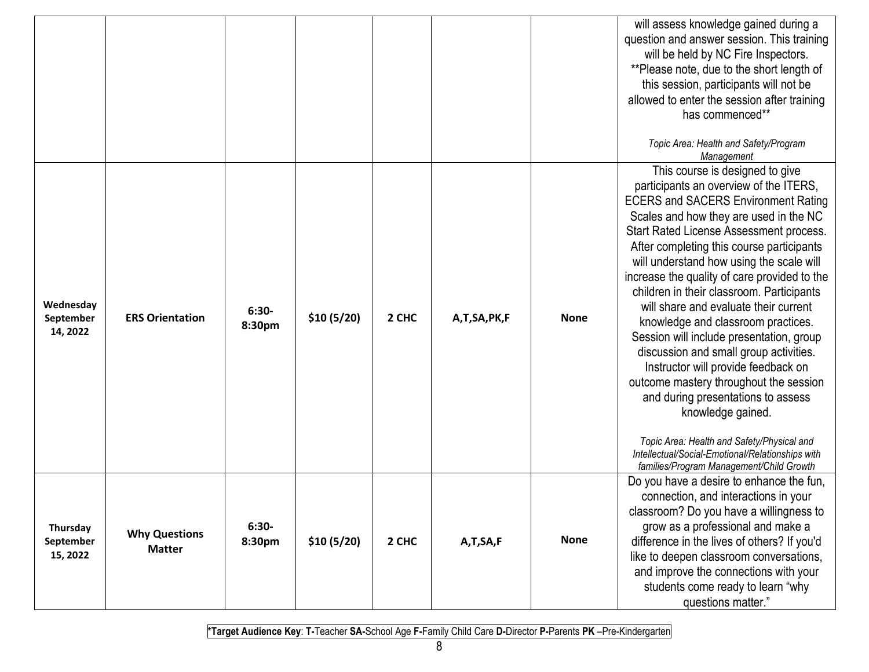|                                    |                                       |                   |            |       |             |             | will assess knowledge gained during a<br>question and answer session. This training<br>will be held by NC Fire Inspectors.<br>**Please note, due to the short length of<br>this session, participants will not be<br>allowed to enter the session after training<br>has commenced**<br>Topic Area: Health and Safety/Program<br>Management                                                                                                                                                                                                                                                                                                                                                                                                                                                                                                                        |
|------------------------------------|---------------------------------------|-------------------|------------|-------|-------------|-------------|-------------------------------------------------------------------------------------------------------------------------------------------------------------------------------------------------------------------------------------------------------------------------------------------------------------------------------------------------------------------------------------------------------------------------------------------------------------------------------------------------------------------------------------------------------------------------------------------------------------------------------------------------------------------------------------------------------------------------------------------------------------------------------------------------------------------------------------------------------------------|
| Wednesday<br>September<br>14, 2022 | <b>ERS Orientation</b>                | $6:30-$<br>8:30pm | \$10(5/20) | 2 CHC | A,T,SA,PK,F | <b>None</b> | This course is designed to give<br>participants an overview of the ITERS,<br><b>ECERS and SACERS Environment Rating</b><br>Scales and how they are used in the NC<br>Start Rated License Assessment process.<br>After completing this course participants<br>will understand how using the scale will<br>increase the quality of care provided to the<br>children in their classroom. Participants<br>will share and evaluate their current<br>knowledge and classroom practices.<br>Session will include presentation, group<br>discussion and small group activities.<br>Instructor will provide feedback on<br>outcome mastery throughout the session<br>and during presentations to assess<br>knowledge gained.<br>Topic Area: Health and Safety/Physical and<br>Intellectual/Social-Emotional/Relationships with<br>families/Program Management/Child Growth |
| Thursday<br>September<br>15, 2022  | <b>Why Questions</b><br><b>Matter</b> | $6:30-$<br>8:30pm | \$10(5/20) | 2 CHC | A,T,SA,F    | <b>None</b> | Do you have a desire to enhance the fun,<br>connection, and interactions in your<br>classroom? Do you have a willingness to<br>grow as a professional and make a<br>difference in the lives of others? If you'd<br>like to deepen classroom conversations,<br>and improve the connections with your<br>students come ready to learn "why<br>questions matter."                                                                                                                                                                                                                                                                                                                                                                                                                                                                                                    |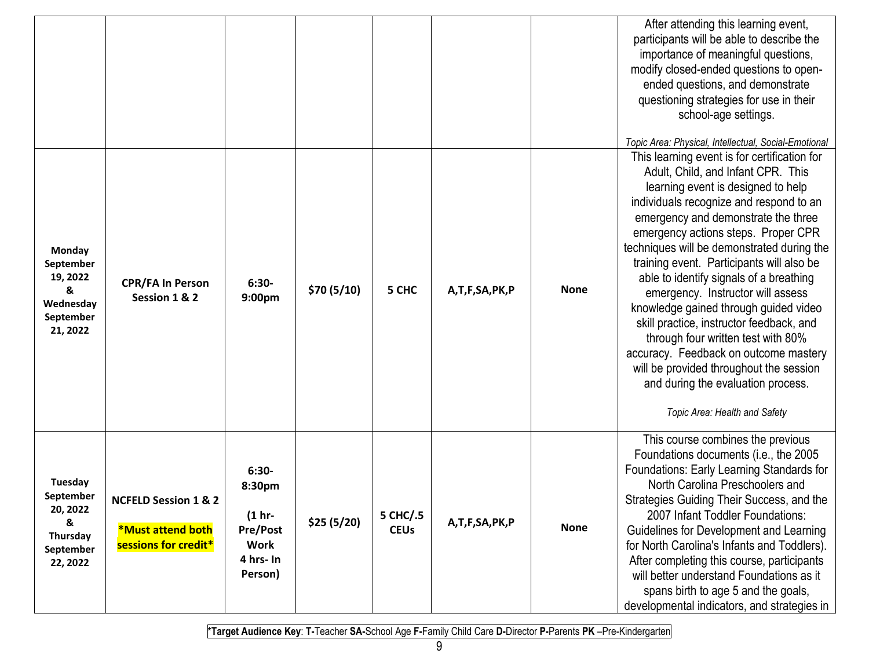|                                                                            |                                                                                     |                                                                                          |            |                         |               |             | After attending this learning event,<br>participants will be able to describe the<br>importance of meaningful questions,<br>modify closed-ended questions to open-<br>ended questions, and demonstrate<br>questioning strategies for use in their<br>school-age settings.                                                                                                                                                                                                                                                                                                                                                                                                                                                                                                  |
|----------------------------------------------------------------------------|-------------------------------------------------------------------------------------|------------------------------------------------------------------------------------------|------------|-------------------------|---------------|-------------|----------------------------------------------------------------------------------------------------------------------------------------------------------------------------------------------------------------------------------------------------------------------------------------------------------------------------------------------------------------------------------------------------------------------------------------------------------------------------------------------------------------------------------------------------------------------------------------------------------------------------------------------------------------------------------------------------------------------------------------------------------------------------|
| Monday<br>September<br>19, 2022<br>&<br>Wednesday<br>September<br>21, 2022 | <b>CPR/FA In Person</b><br>Session 1 & 2                                            | $6:30-$<br>9:00pm                                                                        | \$70(5/10) | 5 CHC                   | A,T,F,SA,PK,P | <b>None</b> | Topic Area: Physical, Intellectual, Social-Emotional<br>This learning event is for certification for<br>Adult, Child, and Infant CPR. This<br>learning event is designed to help<br>individuals recognize and respond to an<br>emergency and demonstrate the three<br>emergency actions steps. Proper CPR<br>techniques will be demonstrated during the<br>training event. Participants will also be<br>able to identify signals of a breathing<br>emergency. Instructor will assess<br>knowledge gained through guided video<br>skill practice, instructor feedback, and<br>through four written test with 80%<br>accuracy. Feedback on outcome mastery<br>will be provided throughout the session<br>and during the evaluation process.<br>Topic Area: Health and Safety |
| Tuesday<br>September<br>20, 2022<br>&<br>Thursday<br>September<br>22, 2022 | <b>NCFELD Session 1 &amp; 2</b><br><b>*Must attend both</b><br>sessions for credit* | $6:30-$<br>8:30pm<br>$(1 hr -$<br><b>Pre/Post</b><br><b>Work</b><br>4 hrs- In<br>Person) | \$25(5/20) | 5 CHC/.5<br><b>CEUs</b> | A,T,F,SA,PK,P | <b>None</b> | This course combines the previous<br>Foundations documents (i.e., the 2005<br>Foundations: Early Learning Standards for<br>North Carolina Preschoolers and<br>Strategies Guiding Their Success, and the<br>2007 Infant Toddler Foundations:<br>Guidelines for Development and Learning<br>for North Carolina's Infants and Toddlers).<br>After completing this course, participants<br>will better understand Foundations as it<br>spans birth to age 5 and the goals,<br>developmental indicators, and strategies in                                                                                                                                                                                                                                                      |